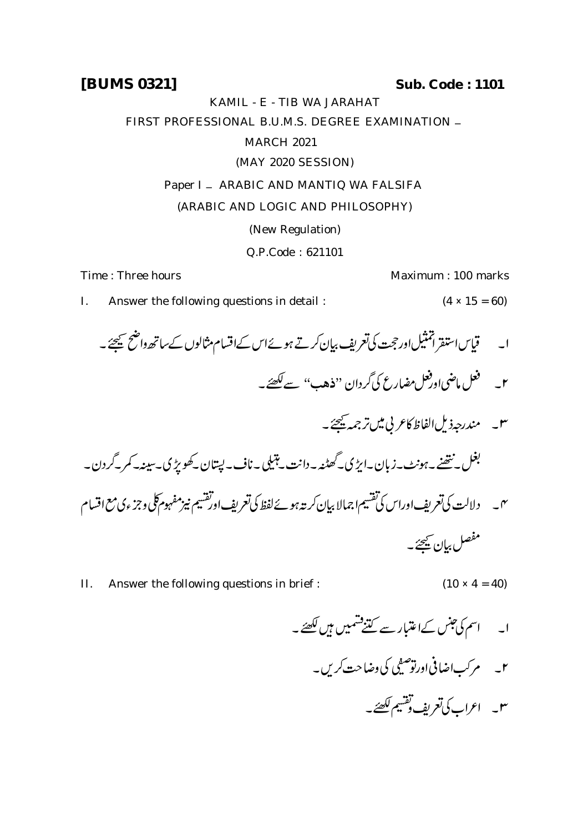**[BUMS 0321] Sub. Code : 1101**

KAMIL - E - TIB WA JARAHAT

FIRST PROFESSIONAL B.U.M.S. DEGREE EXAMINATION -

## MARCH 2021

(MAY 2020 SESSION)

## Paper I - ARABIC AND MANTIQ WA FALSIFA

## (ARABIC AND LOGIC AND PHILOSOPHY)

(New Regulation)

Q.P.Code : 621101

Time : Three hours **Maximum** : 100 marks

- I. Answer the following questions in detail :  $(4 \times 15 = 60)$
- ا۔ قیاساستفر اتمثیل اور ججت کی تعریف بیان کرتے ہوئے اس کےاقسام مثالوں کے ساتھ داضح کیجئے۔ ۲\_ \_ فعل ماضي اورفعل مضارع كي گردان ''فذهب'' سے لکھئے۔ ٣\_ مندرجه ذيل الفاظ كاعر بي مين ترجمه يحيحهُ \_ ے<br>- گھاڻھ بعل نتھنے۔ہونٹ۔زبان۔ایڑی۔ .<br>F ،<br>گھٹنہ ۔دانت \_ہتیلی  $\overline{\mathbf{1}}$  $\ddot{\phantom{0}}$ n.<br>L بتبکی ۔ناف۔ لپتان کھو پڑی۔ سینہ۔ کمر کردن۔ ىى \_\_\_ دلالت كى تعريف اوراس كى تقسيم اجمالا بيان كربته *بيوۓ لفظ كى تعريف اورتقسيم نيزمفهوم كلى وجزء كى مع* اقسام

II. Answer the following questions in brief :  $(10 \times 4 = 40)$ 

- - مرکب اضافی اورتو صف ضنفي .<br>ص ۲۔ مرکباضافی اورتو صفی کی وضاحت کریں۔
		- ٣\_ اعراب كى تعريف تقسيم لكصِّے \_

مفصل بيان ييحئر \_